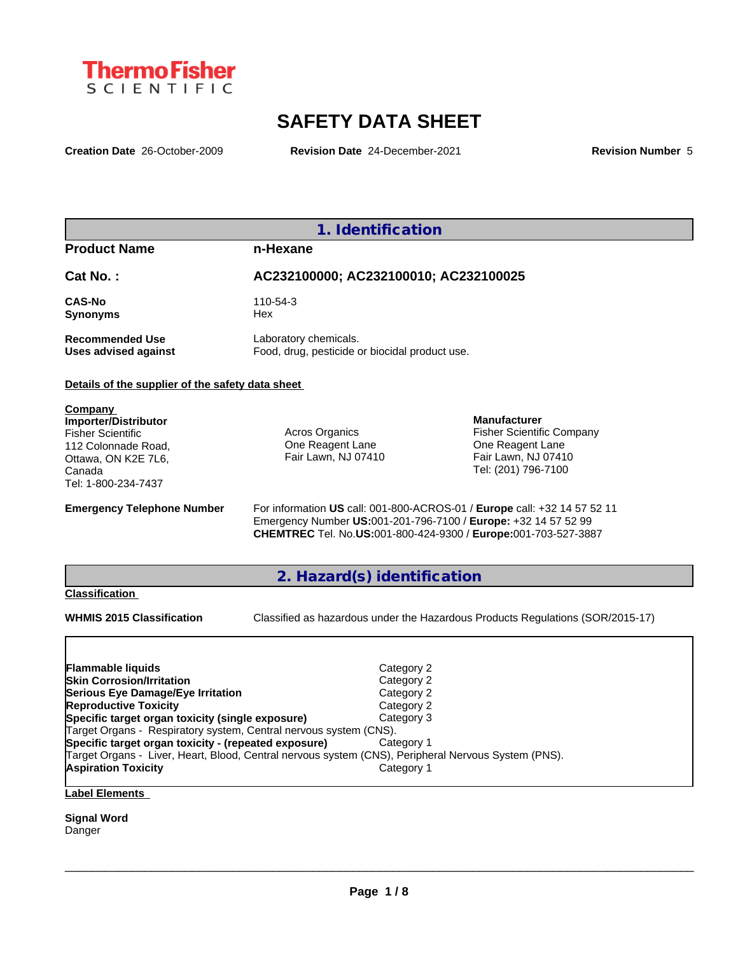

# **SAFETY DATA SHEET**

**Creation Date** 26-October-2009 **Revision Date** 24-December-2021 **Revision Number** 5

| 1. Identification                                                                                                                                                                                                                                                                                                                                |                                                                                                                                                                                                       |                                                                                                                           |  |  |  |  |
|--------------------------------------------------------------------------------------------------------------------------------------------------------------------------------------------------------------------------------------------------------------------------------------------------------------------------------------------------|-------------------------------------------------------------------------------------------------------------------------------------------------------------------------------------------------------|---------------------------------------------------------------------------------------------------------------------------|--|--|--|--|
| <b>Product Name</b>                                                                                                                                                                                                                                                                                                                              | n-Hexane                                                                                                                                                                                              |                                                                                                                           |  |  |  |  |
| Cat No.:                                                                                                                                                                                                                                                                                                                                         | AC232100000; AC232100010; AC232100025                                                                                                                                                                 |                                                                                                                           |  |  |  |  |
| <b>CAS-No</b><br><b>Synonyms</b>                                                                                                                                                                                                                                                                                                                 | 110-54-3<br>Hex                                                                                                                                                                                       |                                                                                                                           |  |  |  |  |
| <b>Recommended Use</b><br><b>Uses advised against</b>                                                                                                                                                                                                                                                                                            | Laboratory chemicals.                                                                                                                                                                                 | Food, drug, pesticide or biocidal product use.                                                                            |  |  |  |  |
| Details of the supplier of the safety data sheet                                                                                                                                                                                                                                                                                                 |                                                                                                                                                                                                       |                                                                                                                           |  |  |  |  |
| <b>Company</b><br><b>Importer/Distributor</b><br><b>Fisher Scientific</b><br>112 Colonnade Road,<br>Ottawa, ON K2E 7L6,<br>Canada<br>Tel: 1-800-234-7437                                                                                                                                                                                         | Acros Organics<br>One Reagent Lane<br>Fair Lawn, NJ 07410                                                                                                                                             | <b>Manufacturer</b><br><b>Fisher Scientific Company</b><br>One Reagent Lane<br>Fair Lawn, NJ 07410<br>Tel: (201) 796-7100 |  |  |  |  |
| <b>Emergency Telephone Number</b>                                                                                                                                                                                                                                                                                                                | Emergency Number US:001-201-796-7100 / Europe: +32 14 57 52 99<br>CHEMTREC Tel. No.US:001-800-424-9300 / Europe:001-703-527-3887                                                                      | For information US call: 001-800-ACROS-01 / Europe call: +32 14 57 52 11                                                  |  |  |  |  |
|                                                                                                                                                                                                                                                                                                                                                  | 2. Hazard(s) identification                                                                                                                                                                           |                                                                                                                           |  |  |  |  |
| <b>Classification</b><br><b>WHMIS 2015 Classification</b>                                                                                                                                                                                                                                                                                        |                                                                                                                                                                                                       | Classified as hazardous under the Hazardous Products Regulations (SOR/2015-17)                                            |  |  |  |  |
| <b>Flammable liquids</b><br><b>Skin Corrosion/Irritation</b><br>Serious Eye Damage/Eye Irritation<br><b>Reproductive Toxicity</b><br>Specific target organ toxicity (single exposure)<br>Target Organs - Respiratory system, Central nervous system (CNS).<br>Specific target organ toxicity - (repeated exposure)<br><b>Aspiration Toxicity</b> | Category 2<br>Category 2<br>Category 2<br>Category 2<br>Category 3<br>Category 1<br>Target Organs - Liver, Heart, Blood, Central nervous system (CNS), Peripheral Nervous System (PNS).<br>Category 1 |                                                                                                                           |  |  |  |  |

## **Label Elements**

**Signal Word** Danger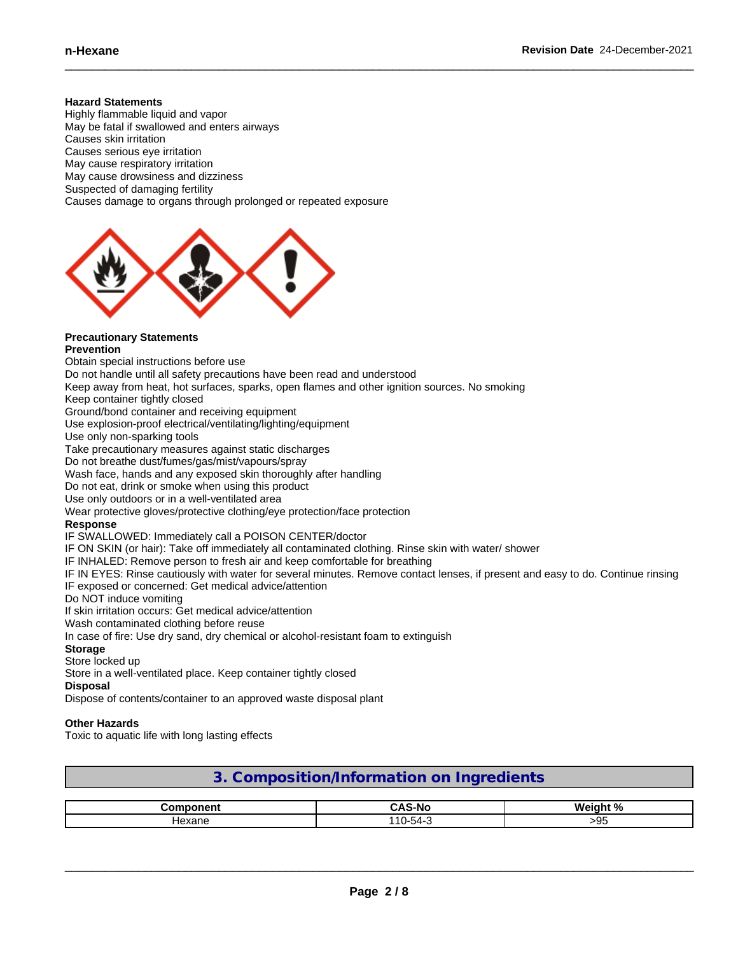#### **Hazard Statements**

Highly flammable liquid and vapor May be fatal if swallowed and enters airways Causes skin irritation Causes serious eye irritation May cause respiratory irritation May cause drowsiness and dizziness Suspected of damaging fertility Causes damage to organs through prolonged or repeated exposure



## **Precautionary Statements**

**Prevention**

Obtain special instructions before use Do not handle until all safety precautions have been read and understood Keep away from heat, hot surfaces, sparks, open flames and other ignition sources. No smoking Keep container tightly closed Ground/bond container and receiving equipment Use explosion-proof electrical/ventilating/lighting/equipment Use only non-sparking tools Take precautionary measures against static discharges Do not breathe dust/fumes/gas/mist/vapours/spray Wash face, hands and any exposed skin thoroughly after handling Do not eat, drink or smoke when using this product Use only outdoors or in a well-ventilated area Wear protective gloves/protective clothing/eye protection/face protection **Response** IF SWALLOWED: Immediately call a POISON CENTER/doctor IF ON SKIN (or hair): Take off immediately all contaminated clothing. Rinse skin with water/ shower IF INHALED: Remove person to fresh air and keep comfortable for breathing IF IN EYES: Rinse cautiously with water for several minutes. Remove contact lenses, if present and easy to do. Continue rinsing IF exposed or concerned: Get medical advice/attention Do NOT induce vomiting If skin irritation occurs: Get medical advice/attention Wash contaminated clothing before reuse In case of fire: Use dry sand, dry chemical or alcohol-resistant foam to extinguish **Storage** Store locked up

Store in a well-ventilated place. Keep container tightly closed

**Disposal**

Dispose of contents/container to an approved waste disposal plant

#### **Other Hazards**

Toxic to aquatic life with long lasting effects

## **3. Composition/Information on Ingredients**

|        | - - - - -<br>ີ AS-No<br>$\mathbf{H}$ | п.<br><br>70 |
|--------|--------------------------------------|--------------|
| Hexane | $110 - 54 -$                         | ~ur<br>∼∼    |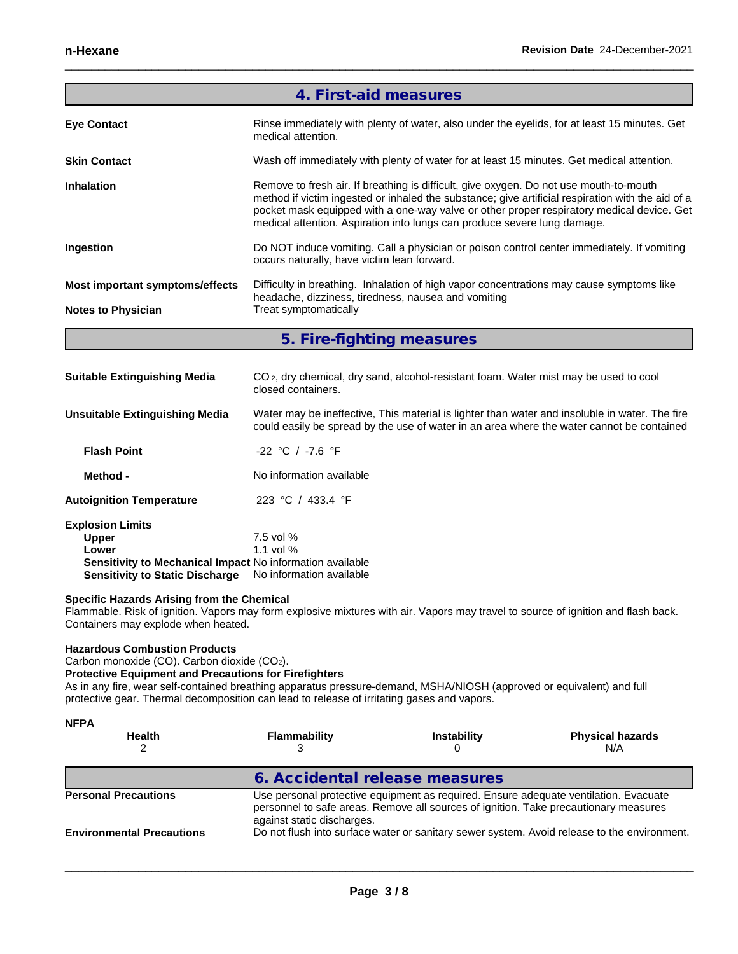|                                 | 4. First-aid measures                                                                                                                                                                                                                                                                                                                                                |
|---------------------------------|----------------------------------------------------------------------------------------------------------------------------------------------------------------------------------------------------------------------------------------------------------------------------------------------------------------------------------------------------------------------|
| <b>Eye Contact</b>              | Rinse immediately with plenty of water, also under the eyelids, for at least 15 minutes. Get<br>medical attention.                                                                                                                                                                                                                                                   |
| <b>Skin Contact</b>             | Wash off immediately with plenty of water for at least 15 minutes. Get medical attention.                                                                                                                                                                                                                                                                            |
| <b>Inhalation</b>               | Remove to fresh air. If breathing is difficult, give oxygen. Do not use mouth-to-mouth<br>method if victim ingested or inhaled the substance; give artificial respiration with the aid of a<br>pocket mask equipped with a one-way valve or other proper respiratory medical device. Get<br>medical attention. Aspiration into lungs can produce severe lung damage. |
| Ingestion                       | Do NOT induce vomiting. Call a physician or poison control center immediately. If vomiting<br>occurs naturally, have victim lean forward.                                                                                                                                                                                                                            |
| Most important symptoms/effects | Difficulty in breathing. Inhalation of high vapor concentrations may cause symptoms like<br>headache, dizziness, tiredness, nausea and vomiting                                                                                                                                                                                                                      |
| <b>Notes to Physician</b>       | Treat symptomatically                                                                                                                                                                                                                                                                                                                                                |
|                                 | 5. Fire-fighting measures                                                                                                                                                                                                                                                                                                                                            |

| <b>Suitable Extinguishing Media</b>                       | CO <sub>2</sub> , dry chemical, dry sand, alcohol-resistant foam. Water mist may be used to cool<br>closed containers.                                                                      |
|-----------------------------------------------------------|---------------------------------------------------------------------------------------------------------------------------------------------------------------------------------------------|
| Unsuitable Extinguishing Media                            | Water may be ineffective. This material is lighter than water and insoluble in water. The fire<br>could easily be spread by the use of water in an area where the water cannot be contained |
| <b>Flash Point</b>                                        | $-22$ °C / $-7.6$ °F                                                                                                                                                                        |
| Method -                                                  | No information available                                                                                                                                                                    |
| <b>Autoignition Temperature</b>                           | 223 °C / 433.4 °F                                                                                                                                                                           |
| <b>Explosion Limits</b>                                   |                                                                                                                                                                                             |
| <b>Upper</b>                                              | $7.5$ vol %                                                                                                                                                                                 |
| Lower                                                     | 1.1 vol $%$                                                                                                                                                                                 |
| Sensitivity to Mechanical Impact No information available |                                                                                                                                                                                             |
| <b>Sensitivity to Static Discharge</b>                    | No information available                                                                                                                                                                    |

**Specific Hazards Arising from the Chemical**

Flammable. Risk of ignition. Vapors may form explosive mixtures with air. Vapors may travel to source of ignition and flash back. Containers may explode when heated.

#### **Hazardous Combustion Products**

Carbon monoxide (CO). Carbon dioxide (CO2).

#### **Protective Equipment and Precautions for Firefighters**

As in any fire, wear self-contained breathing apparatus pressure-demand, MSHA/NIOSH (approved or equivalent) and full protective gear. Thermal decomposition can lead to release of irritating gases and vapors.

| <u>NFPA</u>                      |                                |                    |                                                                                                                                                                              |
|----------------------------------|--------------------------------|--------------------|------------------------------------------------------------------------------------------------------------------------------------------------------------------------------|
| <b>Health</b>                    | <b>Flammability</b>            | <b>Instability</b> | <b>Physical hazards</b><br>N/A                                                                                                                                               |
|                                  | 6. Accidental release measures |                    |                                                                                                                                                                              |
| <b>Personal Precautions</b>      | against static discharges.     |                    | Use personal protective equipment as required. Ensure adequate ventilation. Evacuate<br>personnel to safe areas. Remove all sources of ignition. Take precautionary measures |
| <b>Environmental Precautions</b> |                                |                    | Do not flush into surface water or sanitary sewer system. Avoid release to the environment.                                                                                  |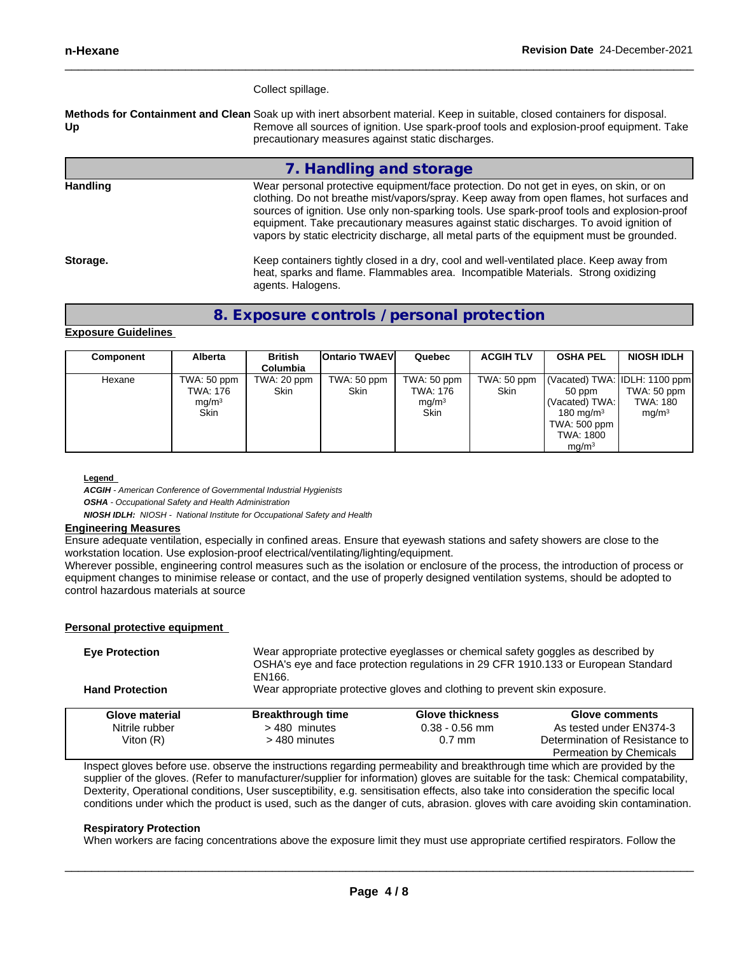#### Collect spillage.

**Methods for Containment and Clean** Soak up with inert absorbent material. Keep in suitable, closed containers for disposal. **Up** Remove all sources of ignition. Use spark-proof tools and explosion-proof equipment. Take precautionary measures against static discharges.

#### **7. Handling and storage**

**Handling** Wear personal protective equipment/face protection. Do not get in eyes, on skin, or on clothing. Do not breathe mist/vapors/spray. Keep away from open flames, hot surfaces and sources of ignition. Use only non-sparking tools. Use spark-proof tools and explosion-proof equipment. Take precautionary measures against static discharges. To avoid ignition of vapors by static electricity discharge, all metal parts of the equipment must be grounded.

**Storage.** Meep containers tightly closed in a dry, cool and well-ventilated place. Keep away from heat, sparks and flame. Flammables area. Incompatible Materials. Strong oxidizing agents. Halogens.

### **8. Exposure controls / personal protection**

#### **Exposure Guidelines**

| Component | Alberta                                              | <b>British</b><br><b>Columbia</b> | <b>Ontario TWAEVI</b>      | Quebec                                                      | <b>ACGIH TLV</b>           | <b>OSHA PEL</b>                                                                                                                   | <b>NIOSH IDLH</b>                            |
|-----------|------------------------------------------------------|-----------------------------------|----------------------------|-------------------------------------------------------------|----------------------------|-----------------------------------------------------------------------------------------------------------------------------------|----------------------------------------------|
| Hexane    | TWA: 50 ppm<br>TWA: 176<br>mg/m <sup>3</sup><br>Skin | TWA: 20 ppm<br><b>Skin</b>        | TWA: 50 ppm<br><b>Skin</b> | TWA: 50 ppm<br>TWA: 176<br>mg/m <sup>3</sup><br><b>Skin</b> | TWA: 50 ppm<br><b>Skin</b> | (Vacated) TWA: IDLH: 1100 ppm<br>$50$ ppm<br>  (Vacated) TWA:  <br>180 mg/m $3$<br>TWA: 500 ppm<br>TWA: 1800<br>mq/m <sup>3</sup> | TWA: 50 ppm<br>TWA: 180<br>mq/m <sup>3</sup> |

#### **Legend**

*ACGIH - American Conference of Governmental Industrial Hygienists OSHA - Occupational Safety and Health Administration*

*NIOSH IDLH: NIOSH - National Institute for Occupational Safety and Health*

#### **Engineering Measures**

Ensure adequate ventilation, especially in confined areas. Ensure that eyewash stations and safety showers are close to the workstation location. Use explosion-proof electrical/ventilating/lighting/equipment.

Wherever possible, engineering control measures such as the isolation or enclosure of the process, the introduction of process or equipment changes to minimise release or contact, and the use of properly designed ventilation systems, should be adopted to control hazardous materials at source

#### **Personal protective equipment**

| <b>Eye Protection</b>  | EN166.                   |                                                                           | Wear appropriate protective eyeglasses or chemical safety goggles as described by<br>OSHA's eye and face protection regulations in 29 CFR 1910.133 or European Standard |
|------------------------|--------------------------|---------------------------------------------------------------------------|-------------------------------------------------------------------------------------------------------------------------------------------------------------------------|
| <b>Hand Protection</b> |                          | Wear appropriate protective gloves and clothing to prevent skin exposure. |                                                                                                                                                                         |
| Glove material         | <b>Breakthrough time</b> | <b>Glove thickness</b>                                                    | <b>Glove comments</b>                                                                                                                                                   |
| Nitrile rubber         | >480 minutes             | $0.38 - 0.56$ mm                                                          | As tested under EN374-3                                                                                                                                                 |
| Viton $(R)$            | > 480 minutes            | $0.7$ mm                                                                  | Determination of Resistance to                                                                                                                                          |
|                        |                          |                                                                           | <b>Permeation by Chemicals</b>                                                                                                                                          |

Inspect gloves before use. observe the instructions regarding permeability and breakthrough time which are provided by the supplier of the gloves. (Refer to manufacturer/supplier for information) gloves are suitable for the task: Chemical compatability, Dexterity, Operational conditions, User susceptibility, e.g. sensitisation effects, also take into consideration the specific local conditions under which the product is used, such as the danger of cuts, abrasion. gloves with care avoiding skin contamination.

#### **Respiratory Protection**

When workers are facing concentrations above the exposure limit they must use appropriate certified respirators. Follow the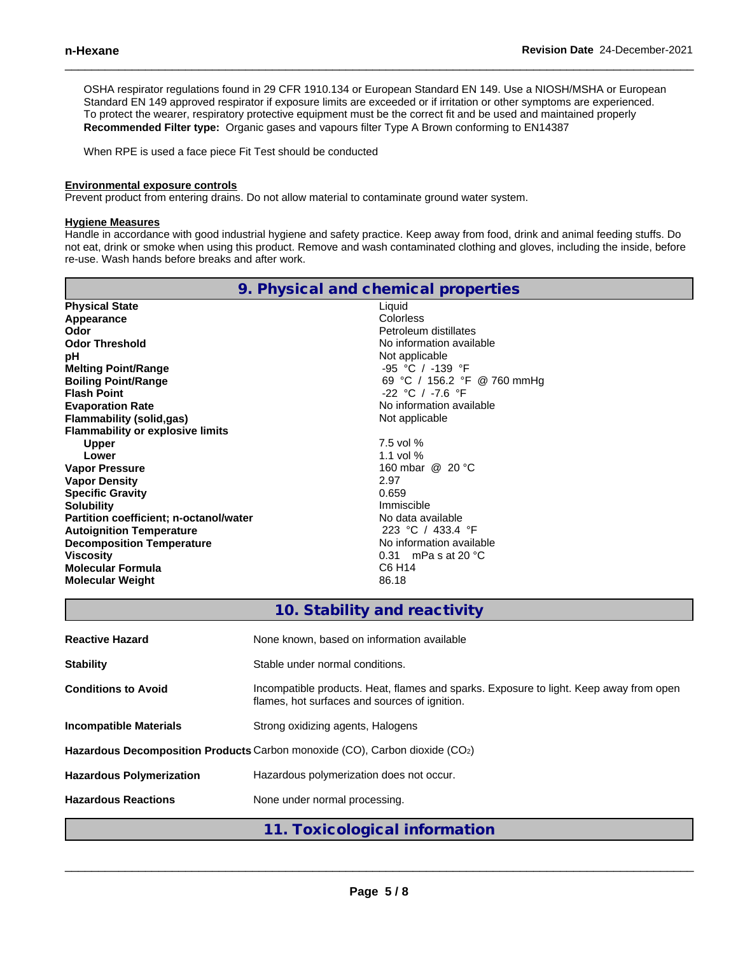OSHA respirator regulations found in 29 CFR 1910.134 or European Standard EN 149. Use a NIOSH/MSHA or European Standard EN 149 approved respirator if exposure limits are exceeded or if irritation or other symptoms are experienced. To protect the wearer, respiratory protective equipment must be the correct fit and be used and maintained properly **Recommended Filter type:** Organic gases and vapours filter Type A Brown conforming to EN14387

When RPE is used a face piece Fit Test should be conducted

#### **Environmental exposure controls**

Prevent product from entering drains. Do not allow material to contaminate ground water system.

#### **Hygiene Measures**

Handle in accordance with good industrial hygiene and safety practice. Keep away from food, drink and animal feeding stuffs. Do not eat, drink or smoke when using this product. Remove and wash contaminated clothing and gloves, including the inside, before re-use. Wash hands before breaks and after work.

| 9. Physical and chemical properties     |                                                                     |  |  |  |  |  |
|-----------------------------------------|---------------------------------------------------------------------|--|--|--|--|--|
| <b>Physical State</b>                   | Liquid                                                              |  |  |  |  |  |
| Appearance                              | Colorless                                                           |  |  |  |  |  |
| Odor                                    | Petroleum distillates                                               |  |  |  |  |  |
| <b>Odor Threshold</b>                   | No information available                                            |  |  |  |  |  |
| рH                                      | Not applicable                                                      |  |  |  |  |  |
| <b>Melting Point/Range</b>              | -95 °C / -139 °F                                                    |  |  |  |  |  |
| <b>Boiling Point/Range</b>              | 69 °C / 156.2 °F @ 760 mmHg                                         |  |  |  |  |  |
| <b>Flash Point</b>                      | $-22$ °C / $-7.6$ °F                                                |  |  |  |  |  |
| <b>Evaporation Rate</b>                 | No information available                                            |  |  |  |  |  |
| <b>Flammability (solid,gas)</b>         | Not applicable                                                      |  |  |  |  |  |
| <b>Flammability or explosive limits</b> |                                                                     |  |  |  |  |  |
| <b>Upper</b>                            | 7.5 vol %                                                           |  |  |  |  |  |
| Lower                                   | 1.1 vol $%$                                                         |  |  |  |  |  |
| <b>Vapor Pressure</b>                   | 160 mbar @ 20 °C                                                    |  |  |  |  |  |
| <b>Vapor Density</b>                    | 2.97                                                                |  |  |  |  |  |
| <b>Specific Gravity</b>                 | 0.659                                                               |  |  |  |  |  |
| <b>Solubility</b>                       | Immiscible                                                          |  |  |  |  |  |
| Partition coefficient; n-octanol/water  | No data available                                                   |  |  |  |  |  |
| <b>Autoignition Temperature</b>         | 223 °C / 433.4 °F                                                   |  |  |  |  |  |
| <b>Decomposition Temperature</b>        | No information available                                            |  |  |  |  |  |
| <b>Viscosity</b>                        | 0.31 mPa s at 20 $^{\circ}$ C                                       |  |  |  |  |  |
| <b>Molecular Formula</b>                | C6 H14                                                              |  |  |  |  |  |
| <b>Molecular Weight</b>                 | 86.18                                                               |  |  |  |  |  |
|                                         | 10. Stability and reactivity                                        |  |  |  |  |  |
|                                         | A have a children and the area of the former and any contracted and |  |  |  |  |  |

| <b>Reactive Hazard</b>          | None known, based on information available                                                                                              |
|---------------------------------|-----------------------------------------------------------------------------------------------------------------------------------------|
| <b>Stability</b>                | Stable under normal conditions.                                                                                                         |
| <b>Conditions to Avoid</b>      | Incompatible products. Heat, flames and sparks. Exposure to light. Keep away from open<br>flames, hot surfaces and sources of ignition. |
| <b>Incompatible Materials</b>   | Strong oxidizing agents, Halogens                                                                                                       |
|                                 | Hazardous Decomposition Products Carbon monoxide (CO), Carbon dioxide (CO2)                                                             |
| <b>Hazardous Polymerization</b> | Hazardous polymerization does not occur.                                                                                                |
| <b>Hazardous Reactions</b>      | None under normal processing.                                                                                                           |
|                                 | 11. Toxicological information                                                                                                           |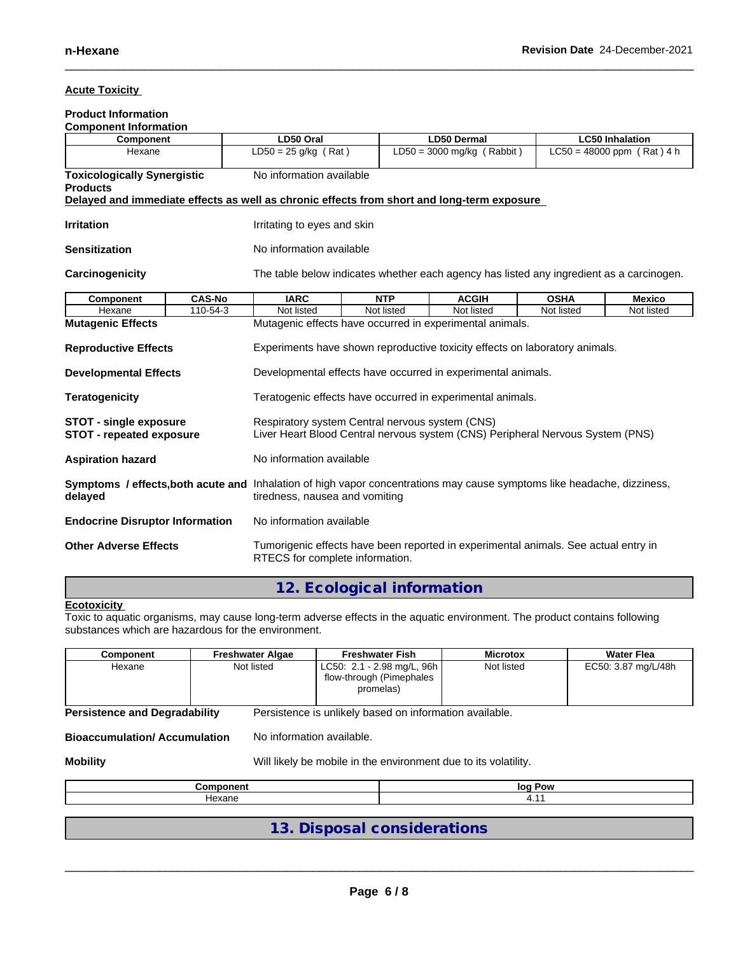#### **Acute Toxicity**

## **Product Information**

| <b>Component Information</b>                                                                                            |                                                            |                                                                                            |                                                                                |                                                                                          |             |                              |  |  |
|-------------------------------------------------------------------------------------------------------------------------|------------------------------------------------------------|--------------------------------------------------------------------------------------------|--------------------------------------------------------------------------------|------------------------------------------------------------------------------------------|-------------|------------------------------|--|--|
| Component                                                                                                               |                                                            | LD50 Oral                                                                                  |                                                                                | <b>LD50 Dermal</b>                                                                       |             | <b>LC50 Inhalation</b>       |  |  |
| Hexane                                                                                                                  |                                                            | $LD50 = 25$ g/kg (Rat)                                                                     |                                                                                | $LD50 = 3000$ mg/kg (Rabbit)                                                             |             | $LC50 = 48000$ ppm (Rat) 4 h |  |  |
| <b>Toxicologically Synergistic</b>                                                                                      |                                                            |                                                                                            | No information available                                                       |                                                                                          |             |                              |  |  |
| <b>Products</b>                                                                                                         |                                                            |                                                                                            |                                                                                |                                                                                          |             |                              |  |  |
|                                                                                                                         |                                                            | Delayed and immediate effects as well as chronic effects from short and long-term exposure |                                                                                |                                                                                          |             |                              |  |  |
|                                                                                                                         |                                                            |                                                                                            |                                                                                |                                                                                          |             |                              |  |  |
| <b>Irritation</b>                                                                                                       |                                                            | Irritating to eyes and skin                                                                |                                                                                |                                                                                          |             |                              |  |  |
| <b>Sensitization</b>                                                                                                    |                                                            | No information available                                                                   |                                                                                |                                                                                          |             |                              |  |  |
| Carcinogenicity                                                                                                         |                                                            |                                                                                            |                                                                                | The table below indicates whether each agency has listed any ingredient as a carcinogen. |             |                              |  |  |
| <b>Component</b>                                                                                                        | <b>CAS-No</b>                                              | <b>IARC</b>                                                                                | <b>NTP</b>                                                                     | <b>ACGIH</b>                                                                             | <b>OSHA</b> | <b>Mexico</b>                |  |  |
| Hexane                                                                                                                  | 110-54-3                                                   | Not listed                                                                                 | Not listed                                                                     | Not listed                                                                               | Not listed  | Not listed                   |  |  |
| <b>Mutagenic Effects</b>                                                                                                |                                                            |                                                                                            |                                                                                | Mutagenic effects have occurred in experimental animals.                                 |             |                              |  |  |
|                                                                                                                         |                                                            |                                                                                            |                                                                                |                                                                                          |             |                              |  |  |
| <b>Reproductive Effects</b>                                                                                             |                                                            | Experiments have shown reproductive toxicity effects on laboratory animals.                |                                                                                |                                                                                          |             |                              |  |  |
|                                                                                                                         |                                                            |                                                                                            |                                                                                |                                                                                          |             |                              |  |  |
| <b>Developmental Effects</b>                                                                                            |                                                            |                                                                                            | Developmental effects have occurred in experimental animals.                   |                                                                                          |             |                              |  |  |
| <b>Teratogenicity</b>                                                                                                   | Teratogenic effects have occurred in experimental animals. |                                                                                            |                                                                                |                                                                                          |             |                              |  |  |
|                                                                                                                         |                                                            |                                                                                            |                                                                                |                                                                                          |             |                              |  |  |
| <b>STOT - single exposure</b>                                                                                           |                                                            |                                                                                            | Respiratory system Central nervous system (CNS)                                |                                                                                          |             |                              |  |  |
| <b>STOT - repeated exposure</b>                                                                                         |                                                            |                                                                                            | Liver Heart Blood Central nervous system (CNS) Peripheral Nervous System (PNS) |                                                                                          |             |                              |  |  |
|                                                                                                                         |                                                            |                                                                                            |                                                                                |                                                                                          |             |                              |  |  |
| <b>Aspiration hazard</b>                                                                                                |                                                            |                                                                                            | No information available                                                       |                                                                                          |             |                              |  |  |
| Symptoms / effects, both acute and Inhalation of high vapor concentrations may cause symptoms like headache, dizziness, |                                                            |                                                                                            |                                                                                |                                                                                          |             |                              |  |  |
| tiredness, nausea and vomiting<br>delayed                                                                               |                                                            |                                                                                            |                                                                                |                                                                                          |             |                              |  |  |
|                                                                                                                         |                                                            |                                                                                            |                                                                                |                                                                                          |             |                              |  |  |
| <b>Endocrine Disruptor Information</b>                                                                                  |                                                            | No information available                                                                   |                                                                                |                                                                                          |             |                              |  |  |
|                                                                                                                         |                                                            |                                                                                            |                                                                                |                                                                                          |             |                              |  |  |
| <b>Other Adverse Effects</b>                                                                                            |                                                            | RTECS for complete information.                                                            |                                                                                | Tumorigenic effects have been reported in experimental animals. See actual entry in      |             |                              |  |  |

## **12. Ecological information**

#### **Ecotoxicity**

Toxic to aquatic organisms, may cause long-term adverse effects in the aquatic environment. The product contains following substances which are hazardous for the environment.

| Component | Freshwater Algae | <b>Freshwater Fish</b>                                              | <b>Microtox</b> | <b>Water Flea</b>   |
|-----------|------------------|---------------------------------------------------------------------|-----------------|---------------------|
| Hexane    | Not listed       | LC50: 2.1 - 2.98 mg/L, 96h<br>flow-through (Pimephales<br>promelas) | Not listed      | EC50: 3.87 mg/L/48h |

**Persistence and Degradability** Persistence is unlikely based on information available.

**Bioaccumulation/ Accumulation** No information available.

**Mobility** Mobility **Mobility** Will likely be mobile in the environment due to its volatility.

| .     | $\log$<br>∍ow |
|-------|---------------|
| ⊣exan | . .           |
|       |               |

**13. Disposal considerations**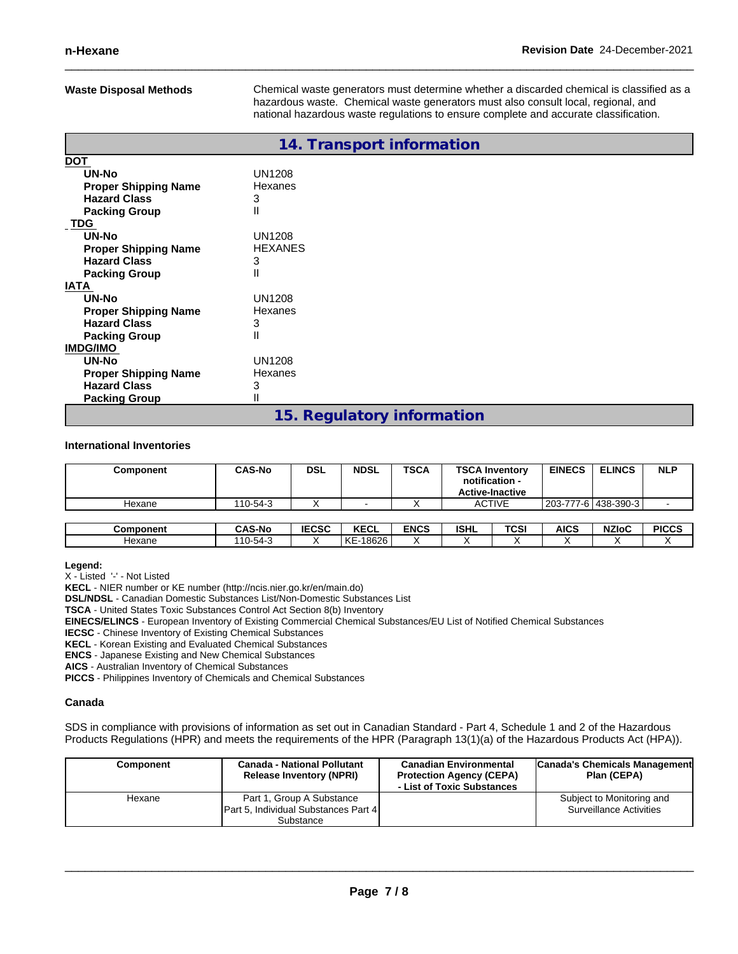**Waste Disposal Methods** Chemical waste generators must determine whether a discarded chemical is classified as a hazardous waste. Chemical waste generators must also consult local, regional, and national hazardous waste regulations to ensure complete and accurate classification.

|                             | 14. Transport information  |
|-----------------------------|----------------------------|
| <u>DOT</u>                  |                            |
| UN-No                       | <b>UN1208</b>              |
| <b>Proper Shipping Name</b> | Hexanes                    |
| <b>Hazard Class</b>         | 3                          |
| <b>Packing Group</b>        | Ш                          |
| <b>TDG</b>                  |                            |
| UN-No                       | <b>UN1208</b>              |
| <b>Proper Shipping Name</b> | <b>HEXANES</b>             |
| <b>Hazard Class</b>         | 3                          |
| <b>Packing Group</b>        | Ш                          |
| IATA                        |                            |
| UN-No                       | UN1208                     |
| <b>Proper Shipping Name</b> | Hexanes                    |
| <b>Hazard Class</b>         | 3                          |
| <b>Packing Group</b>        | Ш                          |
| <b>IMDG/IMO</b>             |                            |
| <b>UN-No</b>                | UN1208                     |
| <b>Proper Shipping Name</b> | Hexanes                    |
| <b>Hazard Class</b>         | 3                          |
| <b>Packing Group</b>        |                            |
|                             | 15. Regulatory information |

#### **International Inventories**

| Component | <b>CAS-No</b> | DSL          | <b>NDSL</b> | <b>TSCA</b> | <b>TSCA Inventory</b><br>notification -<br><b>Active-Inactive</b> |      | <b>EINECS</b> | <b>ELINCS</b>         | <b>NLP</b>   |
|-----------|---------------|--------------|-------------|-------------|-------------------------------------------------------------------|------|---------------|-----------------------|--------------|
| Hexane    | 110-54-3      |              |             |             | <b>ACTIVE</b>                                                     |      |               | 203-777-6 438-390-3 L |              |
|           |               |              |             |             |                                                                   |      |               |                       |              |
| Component | <b>CAS-No</b> | <b>IECSC</b> | <b>KECL</b> | <b>ENCS</b> | <b>ISHL</b>                                                       | TCSI | AICS          | <b>NZIoC</b>          | <b>PICCS</b> |
| Hexane    | 110-54-3      |              | KE-18626    | v<br>∧      |                                                                   |      |               |                       |              |

#### **Legend:**

X - Listed '-' - Not Listed

**KECL** - NIER number or KE number (http://ncis.nier.go.kr/en/main.do)

**DSL/NDSL** - Canadian Domestic Substances List/Non-Domestic Substances List

**TSCA** - United States Toxic Substances Control Act Section 8(b) Inventory

**EINECS/ELINCS** - European Inventory of Existing Commercial Chemical Substances/EU List of Notified Chemical Substances

**IECSC** - Chinese Inventory of Existing Chemical Substances

**KECL** - Korean Existing and Evaluated Chemical Substances

**ENCS** - Japanese Existing and New Chemical Substances

**AICS** - Australian Inventory of Chemical Substances

**PICCS** - Philippines Inventory of Chemicals and Chemical Substances

#### **Canada**

SDS in compliance with provisions of information as set out in Canadian Standard - Part 4, Schedule 1 and 2 of the Hazardous Products Regulations (HPR) and meets the requirements of the HPR (Paragraph 13(1)(a) of the Hazardous Products Act (HPA)).

| Component | <b>Canada - National Pollutant</b><br><b>Release Inventory (NPRI)</b> | <b>Canadian Environmental</b><br><b>Protection Agency (CEPA)</b><br>- List of Toxic Substances | Canada's Chemicals Management<br>Plan (CEPA) |
|-----------|-----------------------------------------------------------------------|------------------------------------------------------------------------------------------------|----------------------------------------------|
| Hexane    | Part 1, Group A Substance                                             |                                                                                                | Subject to Monitoring and                    |
|           | <b>Part 5, Individual Substances Part 4</b>                           |                                                                                                | <b>Surveillance Activities</b>               |
|           | Substance                                                             |                                                                                                |                                              |